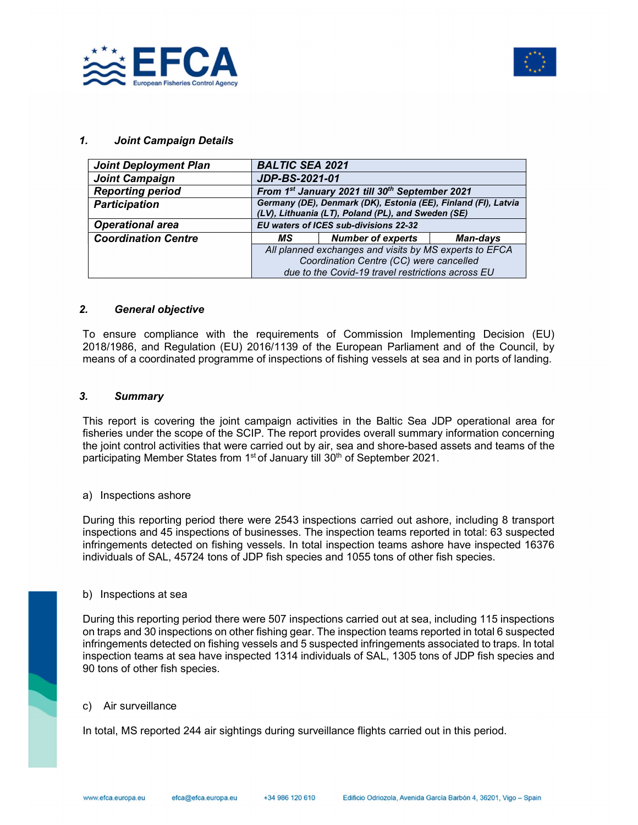



### 1. Joint Campaign Details

| <b>Joint Deployment Plan</b> | <b>BALTIC SEA 2021</b>                                 |                                                                                                                      |                 |
|------------------------------|--------------------------------------------------------|----------------------------------------------------------------------------------------------------------------------|-----------------|
| <b>Joint Campaign</b>        | <b>JDP-BS-2021-01</b>                                  |                                                                                                                      |                 |
| <b>Reporting period</b>      | From 1st January 2021 till 30th September 2021         |                                                                                                                      |                 |
| <b>Participation</b>         |                                                        | Germany (DE), Denmark (DK), Estonia (EE), Finland (FI), Latvia<br>(LV), Lithuania (LT), Poland (PL), and Sweden (SE) |                 |
| <b>Operational area</b>      |                                                        | <b>EU waters of ICES sub-divisions 22-32</b>                                                                         |                 |
| <b>Coordination Centre</b>   | MS.                                                    | <b>Number of experts</b>                                                                                             | <b>Man-days</b> |
|                              | All planned exchanges and visits by MS experts to EFCA |                                                                                                                      |                 |
|                              | Coordination Centre (CC) were cancelled                |                                                                                                                      |                 |
|                              | due to the Covid-19 travel restrictions across EU      |                                                                                                                      |                 |

#### 2. General objective

To ensure compliance with the requirements of Commission Implementing Decision (EU) 2018/1986, and Regulation (EU) 2016/1139 of the European Parliament and of the Council, by means of a coordinated programme of inspections of fishing vessels at sea and in ports of landing.

### 3. Summary

This report is covering the joint campaign activities in the Baltic Sea JDP operational area for fisheries under the scope of the SCIP. The report provides overall summary information concerning the joint control activities that were carried out by air, sea and shore-based assets and teams of the participating Member States from 1<sup>st</sup> of January till 30<sup>th</sup> of September 2021.

#### a) Inspections ashore

During this reporting period there were 2543 inspections carried out ashore, including 8 transport inspections and 45 inspections of businesses. The inspection teams reported in total: 63 suspected infringements detected on fishing vessels. In total inspection teams ashore have inspected 16376 individuals of SAL, 45724 tons of JDP fish species and 1055 tons of other fish species.

#### b) Inspections at sea

During this reporting period there were 507 inspections carried out at sea, including 115 inspections on traps and 30 inspections on other fishing gear. The inspection teams reported in total 6 suspected infringements detected on fishing vessels and 5 suspected infringements associated to traps. In total inspection teams at sea have inspected 1314 individuals of SAL, 1305 tons of JDP fish species and 90 tons of other fish species.

#### c) Air surveillance

In total, MS reported 244 air sightings during surveillance flights carried out in this period.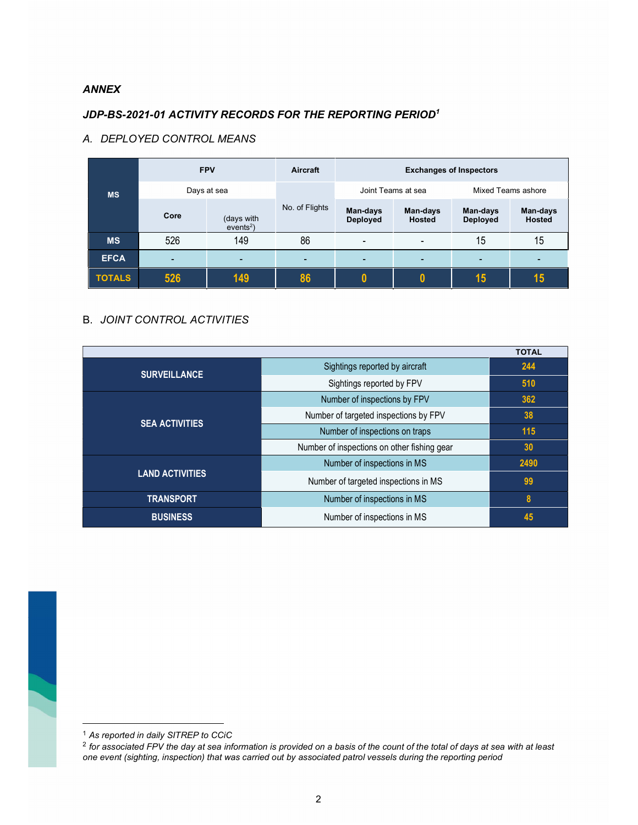### ANNEX

## JDP-BS-2021-01 ACTIVITY RECORDS FOR THE REPORTING PERIOD<sup>1</sup>

### A. DEPLOYED CONTROL MEANS

|               | <b>FPV</b>  |                           | Aircraft       | <b>Exchanges of Inspectors</b> |                    |                             |                           |
|---------------|-------------|---------------------------|----------------|--------------------------------|--------------------|-----------------------------|---------------------------|
| <b>MS</b>     | Days at sea |                           |                | Joint Teams at sea             |                    | Mixed Teams ashore          |                           |
|               | Core        | (days with<br>$events2$ ) | No. of Flights | Man-days<br><b>Deployed</b>    | Man-days<br>Hosted | Man-days<br><b>Deployed</b> | Man-days<br><b>Hosted</b> |
| <b>MS</b>     | 526         | 149                       | 86             | $\overline{\phantom{0}}$       |                    | 15                          | 15                        |
| <b>EFCA</b>   | ۰           | -                         | -              |                                |                    | -                           |                           |
| <b>TOTALS</b> | 526         | 149                       | 86             |                                | 0                  | 15                          | 15                        |

### B. JOINT CONTROL ACTIVITIES

| <b>TOTAL</b>           |                                             |      |  |  |
|------------------------|---------------------------------------------|------|--|--|
| <b>SURVEILLANCE</b>    | Sightings reported by aircraft              | 244  |  |  |
|                        | Sightings reported by FPV                   | 510  |  |  |
| <b>SEA ACTIVITIES</b>  | Number of inspections by FPV                | 362  |  |  |
|                        | Number of targeted inspections by FPV       | 38   |  |  |
|                        | Number of inspections on traps              | 115  |  |  |
|                        | Number of inspections on other fishing gear | 30   |  |  |
|                        | Number of inspections in MS                 | 2490 |  |  |
| <b>LAND ACTIVITIES</b> | Number of targeted inspections in MS        | 99   |  |  |
| <b>TRANSPORT</b>       | Number of inspections in MS                 | 8    |  |  |
| <b>BUSINESS</b>        | Number of inspections in MS                 | 45   |  |  |

<sup>&</sup>lt;sup>1</sup> As reported in daily SITREP to CCiC

 $^2$  for associated FPV the day at sea information is provided on a basis of the count of the total of days at sea with at least one event (sighting, inspection) that was carried out by associated patrol vessels during the reporting period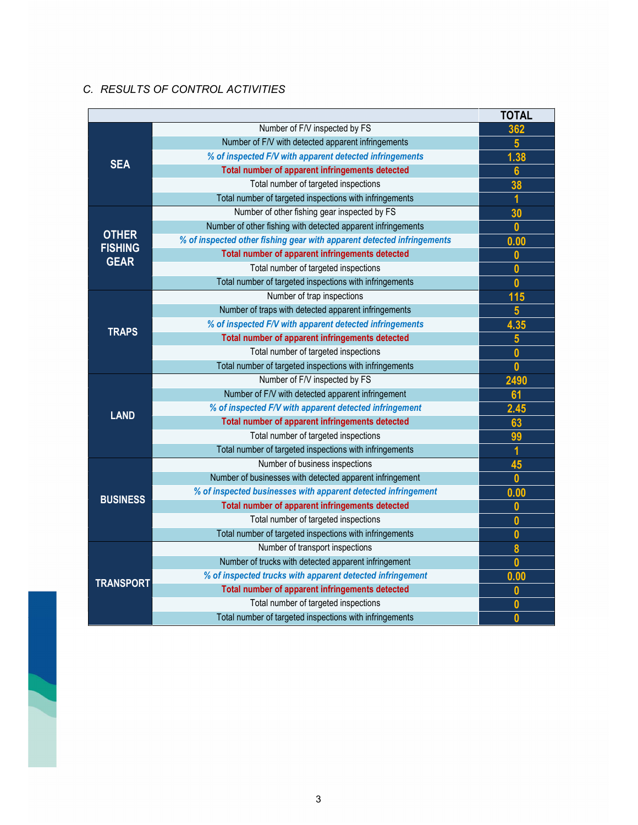### C. RESULTS OF CONTROL ACTIVITIES

|                               |                                                                        | <b>TOTAL</b>            |
|-------------------------------|------------------------------------------------------------------------|-------------------------|
| <b>SEA</b>                    | Number of F/V inspected by FS                                          | 362                     |
|                               | Number of F/V with detected apparent infringements                     | $5\overline{)}$         |
|                               | % of inspected F/V with apparent detected infringements                | 1.38                    |
|                               | Total number of apparent infringements detected                        | $6\phantom{a}$          |
|                               | Total number of targeted inspections                                   | 38                      |
|                               | Total number of targeted inspections with infringements                | 1                       |
|                               | Number of other fishing gear inspected by FS                           | 30                      |
|                               | Number of other fishing with detected apparent infringements           | $\mathbf{0}$            |
| <b>OTHER</b>                  | % of inspected other fishing gear with apparent detected infringements | 0.00                    |
| <b>FISHING</b><br><b>GEAR</b> | Total number of apparent infringements detected                        | $\mathbf{0}$            |
|                               | Total number of targeted inspections                                   | $\mathbf 0$             |
|                               | Total number of targeted inspections with infringements                | $\mathbf 0$             |
|                               | Number of trap inspections                                             | 115                     |
|                               | Number of traps with detected apparent infringements                   | $5\phantom{.0}$         |
| <b>TRAPS</b>                  | % of inspected F/V with apparent detected infringements                | 4.35                    |
|                               | Total number of apparent infringements detected                        | $\overline{\mathbf{5}}$ |
|                               | Total number of targeted inspections                                   | $\mathbf{0}$            |
|                               | Total number of targeted inspections with infringements                | $\mathbf{0}$            |
|                               | Number of F/V inspected by FS                                          | 2490                    |
|                               | Number of F/V with detected apparent infringement                      | 61                      |
| <b>LAND</b>                   | % of inspected F/V with apparent detected infringement                 | 2.45                    |
|                               | Total number of apparent infringements detected                        | 63                      |
|                               | Total number of targeted inspections                                   | 99                      |
|                               | Total number of targeted inspections with infringements                | 1                       |
|                               | Number of business inspections                                         | 45                      |
|                               | Number of businesses with detected apparent infringement               | $\mathbf{0}$            |
| <b>BUSINESS</b>               | % of inspected businesses with apparent detected infringement          | 0.00                    |
|                               | Total number of apparent infringements detected                        | $\boldsymbol{0}$        |
|                               | Total number of targeted inspections                                   | $\mathbf{0}$            |
|                               | Total number of targeted inspections with infringements                | $\mathbf{0}$            |
|                               | Number of transport inspections                                        | 8                       |
|                               | Number of trucks with detected apparent infringement                   | $\mathbf{0}$            |
|                               | % of inspected trucks with apparent detected infringement              | 0.00                    |
| <b>TRANSPORT</b>              | Total number of apparent infringements detected                        | 0                       |
|                               | Total number of targeted inspections                                   | $\boldsymbol{0}$        |
|                               | Total number of targeted inspections with infringements                | $\bf{0}$                |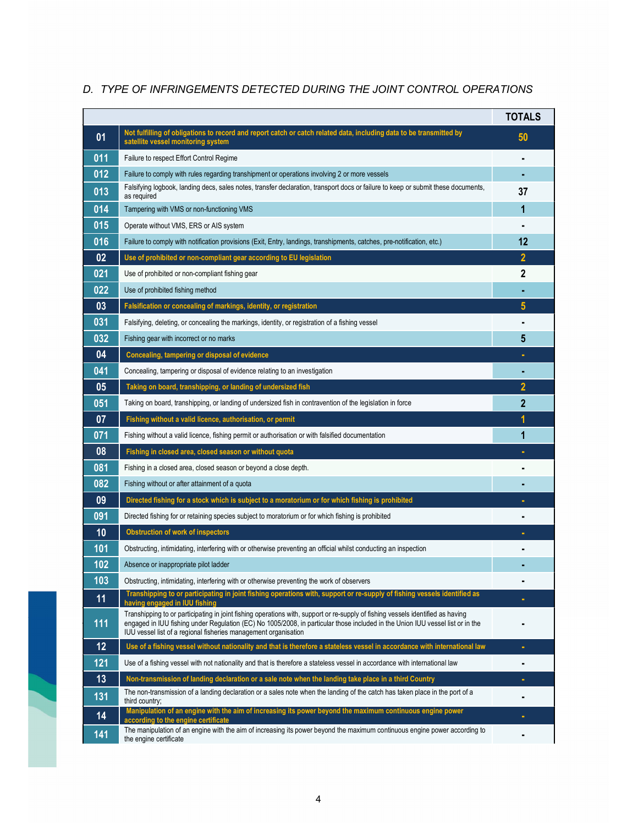# TOTALS 01 Not fulfilling of obligations to record and report catch or catch related data, including data to be transmitted by satellite vessel monitoring system by the satellite vessel monitoring system 011 Failure to respect Effort Control Regime 012 Failure to comply with rules regarding transhipment or operations involving 2 or more vessels 013 Falsifying logbook, landing decs, sales notes, transfer declaration, transport docs or failure to keep or submit these documents, 37<br>as required 014 Tampering with VMS or non-functioning VMS 1 015 Operate without VMS, ERS or AIS system 016 Failure to comply with notification provisions (Exit, Entry, landings, transhipments, catches, pre-notification, etc.) 12 02 Use of prohibited or non-compliant gear according to EU legislation 2 021 Use of prohibited or non-compliant fishing gear 2 2 **022** Use of prohibited fishing method **CONSIDER TO A CONSIDER THE CONSIDER TO A CONSIDER THE CONSIDERATION** 03 **Falsification or concealing of markings, identity, or registration** 5 and 5 and 5 and 5 and 5 and 5 and 5 and 5 and 5 and 5 and 5 and 5 and 5 and 5 and 5 and 5 and 5 and 5 and 5 and 5 and 5 and 5 and 5 and 5 and 5 and 031 Falsifying, deleting, or concealing the markings, identity, or registration of a fishing vessel **032 Fishing gear with incorrect or no marks** 5 and 5 and 5 and 5 and 5 and 5 and 5 and 5 and 5 and 5 and 5 and 5 and 5 and 5 and 5 and 5 and 5 and 5 and 5 and 5 and 5 and 5 and 5 and 5 and 5 and 5 and 5 and 5 and 5 and 04 Concealing, tampering or disposal of evidence 041 Concealing, tampering or disposal of evidence relating to an investigation 05 Taking on board, transhipping, or landing of undersized fish 2 051 Taking on board, transhipping, or landing of undersized fish in contravention of the legislation in force 2 07 Fishing without a valid licence, authorisation, or permit 071 Fishing without a valid licence, fishing permit or authorisation or with falsified documentation 1 Fishing or the 1 08 | Fishing in closed area, closed season or without quota 081 Fishing in a closed area, closed season or beyond a close depth. The state of the state of the state of the state of the state of the state of the state of the state of the state of the state of the state of the state 082 Fishing without or after attainment of a quota 09 Directed fishing for a stock which is subject to a moratorium or for which fishing is prohibited 091 Directed fishing for or retaining species subject to moratorium or for which fishing is prohibited 10 Obstruction of work of inspectors - 101 Obstructing, intimidating, interfering with or otherwise preventing an official whilst conducting an inspection -102 Absence or inappropriate pilot ladder 103 Obstructing, intimidating, interfering with or otherwise preventing the work of observers 11 Transhipping to or participating in joint fishing operations with, support or re-supply of fishing vessels identified as **having engaged in IUU** fishing 111 Transhipping to or participating in joint fishing operations with, support or re-supply of fishing vessels identified as having engaged in IUU fishing under Regulation (EC) No 1005/2008, in particular those included in the Union IUU vessel list or in the IUU vessel list of a regional fisheries management organisation - 12 Use of a fishing vessel without nationality and that is therefore a stateless vessel in accordance with international law -121 Use of a fishing vessel with not nationality and that is therefore a stateless vessel in accordance with international law 13 Non-transmission of landing declaration or a sale note when the landing take place in a third Country **-**131 The non-transmission of a landing declaration or a sales note when the landing of the catch has taken place in the port of a<br>third country; 14 Manipulation of an engine with the aim of increasing its power beyond the maximum continuous engine power<br>according to the engine certificate<br> 141 The manipulation of an engine with the aim of increasing its power beyond the maximum continuous engine power according to **the engine certificate**

## D. TYPE OF INFRINGEMENTS DETECTED DURING THE JOINT CONTROL OPERATIONS